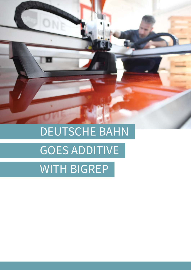## DEUTSCHE BAHN GOES ADDITIVE WITH BIGREP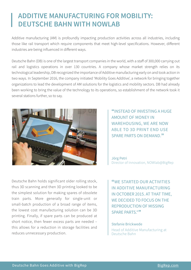## **ADDITIVE MANUFACTURING FOR MOBILITY: DEUTSCHE BAHN WITH NOWLAB**

Additive manufacturing (AM) is profoundly impacting production activities across all industries, including those like rail transport which require components that meet high-level specifications. However, different industries are being influenced in different ways.

Deutsche Bahn (DB) is one of the largest transport companies in the world, with a staff of 300,000 carrying out rail and logistics operations in over 130 countries. A company whose market strength relies on its technological leadership, DB recognized the importance of Additive manufacturing early on and took action in two ways. In September 2016, the company initiated 'Mobility Goes Additive', a network for bringing together organizations to lead the development of AM solutions for the logistics and mobility sectors. DB had already been working to bring the value of the technology to its operations, so establishment of the network took it several stations further, so to say.



**"**INSTEAD OF INVESTING A HUGE AMOUNT OF MONEY IN WAREHOUSING, WE ARE NOW ABLE TO 3D PRINT END USE SPARE PARTS ON DEMAND.**"**

Jörg Petri Director of Innovation, NOWlab@BigRep

Deutsche Bahn holds significant older rolling stock, thus 3D scanning and then 3D printing looked to be the simplest solution for making spares of obsolete train parts. More generally for single-unit or small-batch production of a broad range of items, the lowest cost manufacturing solution can be 3D printing. Finally, if spare parts can be produced at short notice, then fewer excess parts are needed – this allows for a reduction in storage facilities and reduces unnecessary production.

**"**WE STARTED OUR ACTIVITIES IN ADDITIVE MANUFACTURING IN OCTOBER 2015. AT THAT TIME, WE DECIDED TO FOCUS ON THE REPRODUCTION OF MISSING SPARE PARTS."**"**

Stefanie Brickwede Head of Additive Manufacturing at Deutsche Bahn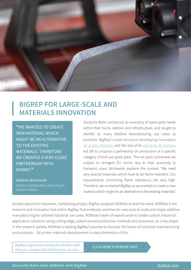

## **BIGREP FOR LARGE-SCALE AND MATERIALS INNOVATION**

**"**WE WANTED TO CREATE NEW MATERIAL WHICH MIGHT BE AN ALTERNATIVE TO THE EXISTING MATERIALS. THEREFORE WE CREATED A VERY CLOSE PARTNERSHIP WITH BIGREP.**"**

Stefanie Brickwede Head of Additive Manufacturing at Deutsche Bahn

Deutsche Bahn carried out an inventory of spare parts needs within their trains, stations and infrastructure, and sought to identify as many Additive Manufacturing use cases as possible. BigRep's track record of developing innovative [3D printer filament,](https://bigrep.com/material?utm_source=ebook&utm_medium=referral&utm_campaign=db) and the size of its industrial 3D printers, led DB to propose a partnership on production of a specific category of end use spare parts. The rail parts concerned are subject to stringent EU norms due to their proximity to transport users. Brickwede explains the context: "We need very special materials, which have to be flame retardant. Our requirements concerning flame retardancy are very high. Therefore, we contacted BigRep as we wanted to create a new material which might be an alternative to the existing materials."

Excited about this important, trailblazing project, BigRep assigned NOWlab to lead the work. NOWlab is the research and innovation hub within BigRep that endlessly searches for new ways to scale and shape additive manufacturing for tailored industrial use cases. NOWlab's team of experts work to create custom industrial application solutions using cutting-edge, patent-owned production methods and processes. As a key player in the research sphere, NOWlab is leading BigRep's journey to discover the future of industrial manufacturing and products – 3d printer materials development is a key dimension of this.

[BigRep's experts are waiting to sink their teeth](https://bigrep.com/bigrep-unique-use-case-general?utm_source=ebook&utm_medium=referral&utm_campaign=db)  Bigkep's experts are waiting to sink their teeth **CLICK HERE FOR MORE INFO**<br>into your unique and challenging use case.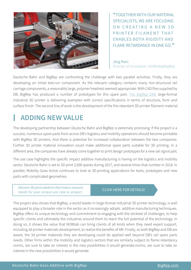

**"**TOGETHER WITH OUR MATERIAL SPECIALISTS, WE ARE FOCUSING ON CREATING A NEW 3D PRINTER FILAMENT THAT ENABLES BOTH RIGIDITY AND FLAME RETARDANCE IN ONE GO.**"**

Jörg Petri Director of Innovation, NOWlab@BigRep

Deutsche Bahn and BigRep are confronting the challenge with two parallel activities. Firstly, they are developing an initial test-run component. As the relevant category contains many non-structural rail carriage components, a reasonably large, polymer headrest seemed appropriate. With CAD files supplied by DB, BigRep has produced a number of prototypes for this spare part. [The BigRep ONE](https://bigrep.com/bigrep-one?utm_source=ebook&utm_medium=referral&utm_campaign=db) large-format industrial 3D printer is delivering examples with correct specifications in terms of structure, form and surface finish. The second line of work is the development of the fire-retardant 3D printer filament material.

## **ADDING NEW VALUE**

The developing partnership between Deutsche Bahn and BigRep is extremely promising. If the project is a success, numerous spare parts from across DB's logistics and mobility operations should become printable with BigRep 3D printers. And there is potential for increased collaboration between the two companies. Further 3D printer material innovation could make additional spare parts suitable for 3D printing. In a different area, the companies have already come together to print design prototypes for a new rail signal part.

The use case highlights the specific impact additive manufacturing is having on the logistics and mobility sector. Deutsche Bahn is set to 3D print 2,000 spares during 2017, and several times that number in 2018. In parallel, Mobility Goes Active continues to look at 3D-printing applications for tools, prototypes and new parts with complicated geometries.

Discover 3D print solutions that reduce resource<br>CLICK HERE FOR DETAILS! needs for your unique use case or project.

The project also shows that BigRep, a world leader in large-format industrial 3D printer technology, is well equipped to play a broader role in the sector as it increasingly adopts additive manufacturing techniques. BigRep offers its unique technology and commitment to engaging with the stickiest of challenges, to help specific clients and ultimately the industries around them to reach the full potential of the technology. In doing so, it shows the value that NOWlab can bring clients of all kinds when they need expert support, including 3d printer materials development, to realize the benefits of AM. Finally, as both BigRep and DB are aware, the 3d printer materials they are developing could be applied well beyond DB's rail spare parts needs. Other firms within the mobility and logistics sectors that are similarly subject to flame retardancy norms, are sure to take an interest in the new possibilities it would generate.norms, are sure to take an interest in the new possibilities it would generate.